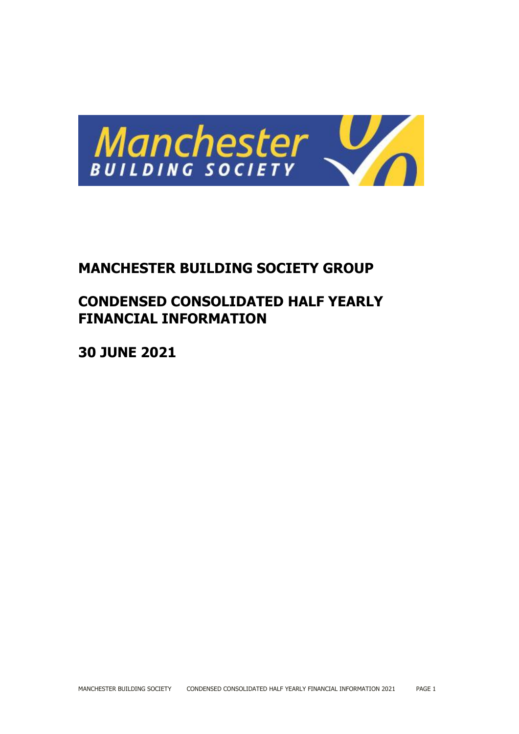

# **MANCHESTER BUILDING SOCIETY GROUP**

# **CONDENSED CONSOLIDATED HALF YEARLY FINANCIAL INFORMATION**

**30 JUNE 2021**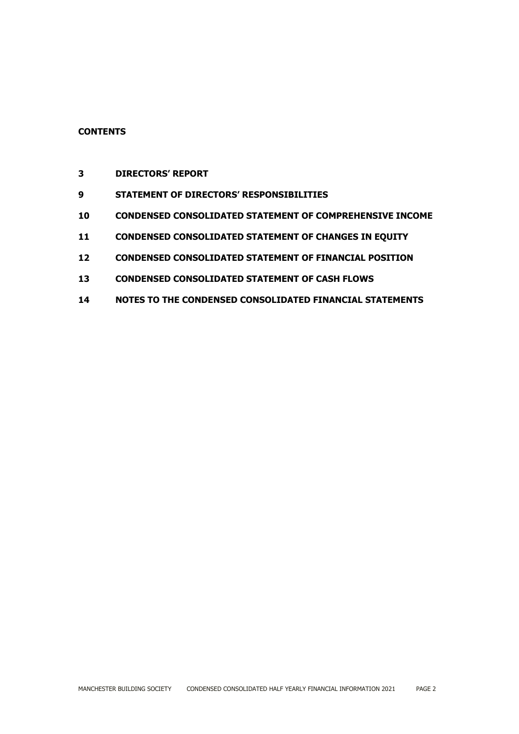## **CONTENTS**

- **DIRECTORS' REPORT**
- **STATEMENT OF DIRECTORS' RESPONSIBILITIES**
- **CONDENSED CONSOLIDATED STATEMENT OF COMPREHENSIVE INCOME**
- **CONDENSED CONSOLIDATED STATEMENT OF CHANGES IN EQUITY**
- **CONDENSED CONSOLIDATED STATEMENT OF FINANCIAL POSITION**
- **CONDENSED CONSOLIDATED STATEMENT OF CASH FLOWS**
- **NOTES TO THE CONDENSED CONSOLIDATED FINANCIAL STATEMENTS**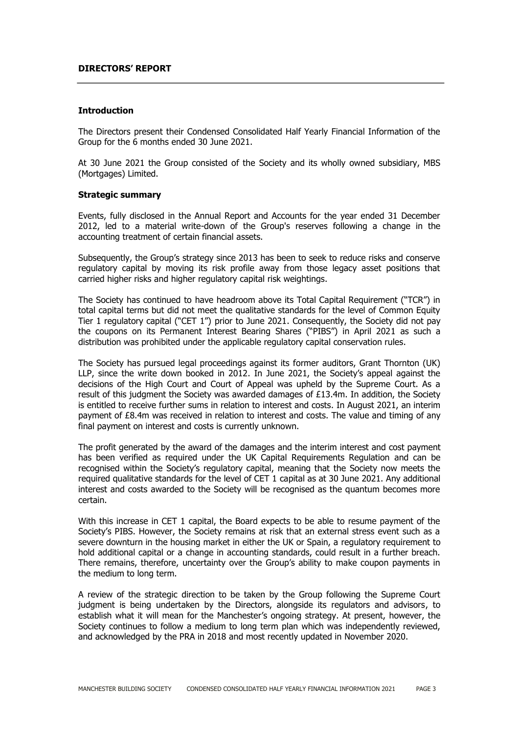#### **DIRECTORS' REPORT**

#### **Introduction**

The Directors present their Condensed Consolidated Half Yearly Financial Information of the Group for the 6 months ended 30 June 2021.

At 30 June 2021 the Group consisted of the Society and its wholly owned subsidiary, MBS (Mortgages) Limited.

#### **Strategic summary**

Events, fully disclosed in the Annual Report and Accounts for the year ended 31 December 2012, led to a material write-down of the Group's reserves following a change in the accounting treatment of certain financial assets.

Subsequently, the Group's strategy since 2013 has been to seek to reduce risks and conserve regulatory capital by moving its risk profile away from those legacy asset positions that carried higher risks and higher regulatory capital risk weightings.

The Society has continued to have headroom above its Total Capital Requirement ("TCR") in total capital terms but did not meet the qualitative standards for the level of Common Equity Tier 1 regulatory capital ("CET 1") prior to June 2021. Consequently, the Society did not pay the coupons on its Permanent Interest Bearing Shares ("PIBS") in April 2021 as such a distribution was prohibited under the applicable regulatory capital conservation rules.

The Society has pursued legal proceedings against its former auditors, Grant Thornton (UK) LLP, since the write down booked in 2012. In June 2021, the Society's appeal against the decisions of the High Court and Court of Appeal was upheld by the Supreme Court. As a result of this judgment the Society was awarded damages of £13.4m. In addition, the Society is entitled to receive further sums in relation to interest and costs. In August 2021, an interim payment of £8.4m was received in relation to interest and costs. The value and timing of any final payment on interest and costs is currently unknown.

The profit generated by the award of the damages and the interim interest and cost payment has been verified as required under the UK Capital Requirements Regulation and can be recognised within the Society's regulatory capital, meaning that the Society now meets the required qualitative standards for the level of CET 1 capital as at 30 June 2021. Any additional interest and costs awarded to the Society will be recognised as the quantum becomes more certain.

With this increase in CET 1 capital, the Board expects to be able to resume payment of the Society's PIBS. However, the Society remains at risk that an external stress event such as a severe downturn in the housing market in either the UK or Spain, a regulatory requirement to hold additional capital or a change in accounting standards, could result in a further breach. There remains, therefore, uncertainty over the Group's ability to make coupon payments in the medium to long term.

A review of the strategic direction to be taken by the Group following the Supreme Court judgment is being undertaken by the Directors, alongside its regulators and advisors, to establish what it will mean for the Manchester's ongoing strategy. At present, however, the Society continues to follow a medium to long term plan which was independently reviewed, and acknowledged by the PRA in 2018 and most recently updated in November 2020.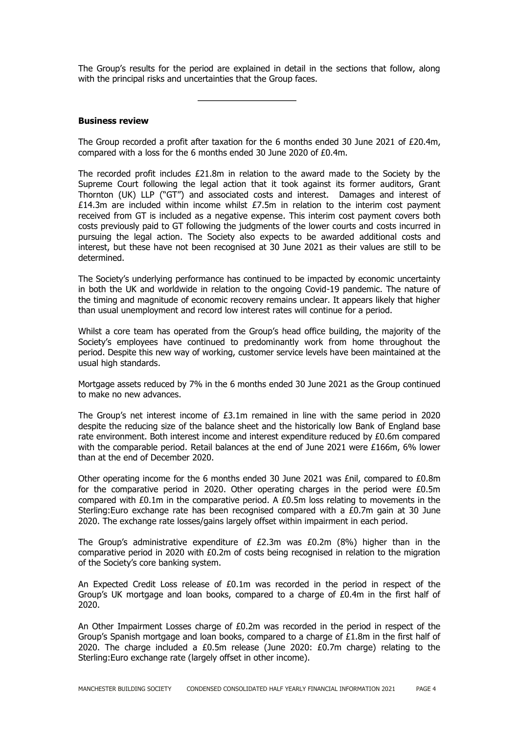The Group's results for the period are explained in detail in the sections that follow, along with the principal risks and uncertainties that the Group faces.

## **Business review**

The Group recorded a profit after taxation for the 6 months ended 30 June 2021 of £20.4m, compared with a loss for the 6 months ended 30 June 2020 of £0.4m.

The recorded profit includes £21.8m in relation to the award made to the Society by the Supreme Court following the legal action that it took against its former auditors, Grant Thornton (UK) LLP ("GT") and associated costs and interest. Damages and interest of £14.3m are included within income whilst  $£7.5m$  in relation to the interim cost payment received from GT is included as a negative expense. This interim cost payment covers both costs previously paid to GT following the judgments of the lower courts and costs incurred in pursuing the legal action. The Society also expects to be awarded additional costs and interest, but these have not been recognised at 30 June 2021 as their values are still to be determined.

The Society's underlying performance has continued to be impacted by economic uncertainty in both the UK and worldwide in relation to the ongoing Covid-19 pandemic. The nature of the timing and magnitude of economic recovery remains unclear. It appears likely that higher than usual unemployment and record low interest rates will continue for a period.

Whilst a core team has operated from the Group's head office building, the majority of the Society's employees have continued to predominantly work from home throughout the period. Despite this new way of working, customer service levels have been maintained at the usual high standards.

Mortgage assets reduced by 7% in the 6 months ended 30 June 2021 as the Group continued to make no new advances.

The Group's net interest income of  $£3.1m$  remained in line with the same period in 2020 despite the reducing size of the balance sheet and the historically low Bank of England base rate environment. Both interest income and interest expenditure reduced by £0.6m compared with the comparable period. Retail balances at the end of June 2021 were £166m, 6% lower than at the end of December 2020.

Other operating income for the 6 months ended 30 June 2021 was £nil, compared to £0.8m for the comparative period in 2020. Other operating charges in the period were  $E0.5m$ compared with £0.1m in the comparative period. A £0.5m loss relating to movements in the Sterling:Euro exchange rate has been recognised compared with a £0.7m gain at 30 June 2020. The exchange rate losses/gains largely offset within impairment in each period.

The Group's administrative expenditure of  $E2.3m$  was  $E0.2m$  (8%) higher than in the comparative period in 2020 with £0.2m of costs being recognised in relation to the migration of the Society's core banking system.

An Expected Credit Loss release of £0.1m was recorded in the period in respect of the Group's UK mortgage and loan books, compared to a charge of £0.4m in the first half of 2020.

An Other Impairment Losses charge of £0.2m was recorded in the period in respect of the Group's Spanish mortgage and loan books, compared to a charge of  $£1.8m$  in the first half of 2020. The charge included a £0.5m release (June 2020: £0.7m charge) relating to the Sterling:Euro exchange rate (largely offset in other income).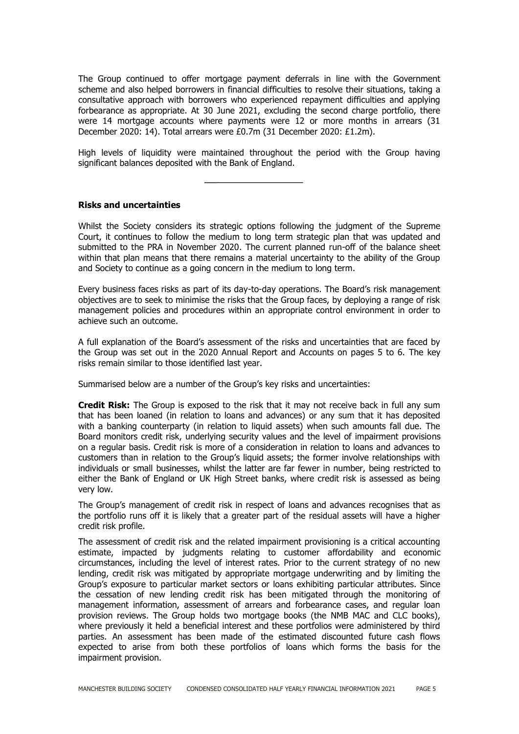The Group continued to offer mortgage payment deferrals in line with the Government scheme and also helped borrowers in financial difficulties to resolve their situations, taking a consultative approach with borrowers who experienced repayment difficulties and applying forbearance as appropriate. At 30 June 2021, excluding the second charge portfolio, there were 14 mortgage accounts where payments were 12 or more months in arrears (31 December 2020: 14). Total arrears were £0.7m (31 December 2020: £1.2m).

High levels of liquidity were maintained throughout the period with the Group having significant balances deposited with the Bank of England.

#### **Risks and uncertainties**

Whilst the Society considers its strategic options following the judgment of the Supreme Court, it continues to follow the medium to long term strategic plan that was updated and submitted to the PRA in November 2020. The current planned run-off of the balance sheet within that plan means that there remains a material uncertainty to the ability of the Group and Society to continue as a going concern in the medium to long term.

Every business faces risks as part of its day-to-day operations. The Board's risk management objectives are to seek to minimise the risks that the Group faces, by deploying a range of risk management policies and procedures within an appropriate control environment in order to achieve such an outcome.

A full explanation of the Board's assessment of the risks and uncertainties that are faced by the Group was set out in the 2020 Annual Report and Accounts on pages 5 to 6. The key risks remain similar to those identified last year.

Summarised below are a number of the Group's key risks and uncertainties:

**Credit Risk:** The Group is exposed to the risk that it may not receive back in full any sum that has been loaned (in relation to loans and advances) or any sum that it has deposited with a banking counterparty (in relation to liquid assets) when such amounts fall due. The Board monitors credit risk, underlying security values and the level of impairment provisions on a regular basis. Credit risk is more of a consideration in relation to loans and advances to customers than in relation to the Group's liquid assets; the former involve relationships with individuals or small businesses, whilst the latter are far fewer in number, being restricted to either the Bank of England or UK High Street banks, where credit risk is assessed as being very low.

The Group's management of credit risk in respect of loans and advances recognises that as the portfolio runs off it is likely that a greater part of the residual assets will have a higher credit risk profile.

The assessment of credit risk and the related impairment provisioning is a critical accounting estimate, impacted by judgments relating to customer affordability and economic circumstances, including the level of interest rates. Prior to the current strategy of no new lending, credit risk was mitigated by appropriate mortgage underwriting and by limiting the Group's exposure to particular market sectors or loans exhibiting particular attributes. Since the cessation of new lending credit risk has been mitigated through the monitoring of management information, assessment of arrears and forbearance cases, and regular loan provision reviews. The Group holds two mortgage books (the NMB MAC and CLC books), where previously it held a beneficial interest and these portfolios were administered by third parties. An assessment has been made of the estimated discounted future cash flows expected to arise from both these portfolios of loans which forms the basis for the impairment provision.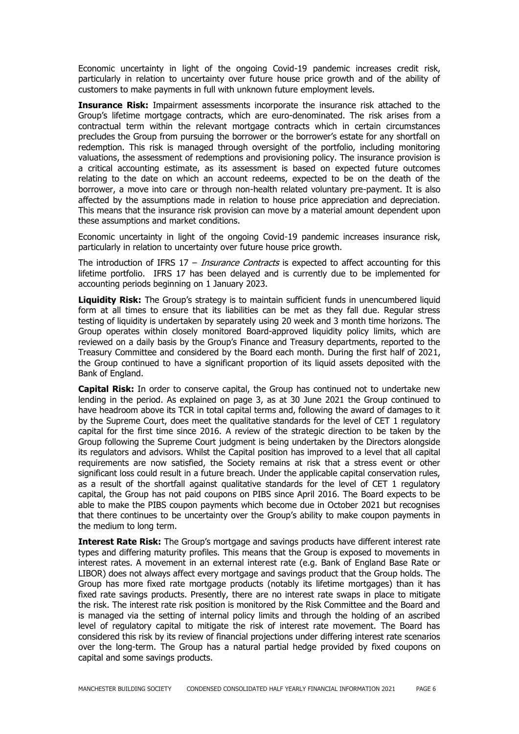Economic uncertainty in light of the ongoing Covid-19 pandemic increases credit risk, particularly in relation to uncertainty over future house price growth and of the ability of customers to make payments in full with unknown future employment levels.

**Insurance Risk:** Impairment assessments incorporate the insurance risk attached to the Group's lifetime mortgage contracts, which are euro-denominated. The risk arises from a contractual term within the relevant mortgage contracts which in certain circumstances precludes the Group from pursuing the borrower or the borrower's estate for any shortfall on redemption. This risk is managed through oversight of the portfolio, including monitoring valuations, the assessment of redemptions and provisioning policy. The insurance provision is a critical accounting estimate, as its assessment is based on expected future outcomes relating to the date on which an account redeems, expected to be on the death of the borrower, a move into care or through non-health related voluntary pre-payment. It is also affected by the assumptions made in relation to house price appreciation and depreciation. This means that the insurance risk provision can move by a material amount dependent upon these assumptions and market conditions.

Economic uncertainty in light of the ongoing Covid-19 pandemic increases insurance risk, particularly in relation to uncertainty over future house price growth.

The introduction of IFRS  $17 - Insquare$  Contracts is expected to affect accounting for this lifetime portfolio. IFRS 17 has been delayed and is currently due to be implemented for accounting periods beginning on 1 January 2023.

Liquidity Risk: The Group's strategy is to maintain sufficient funds in unencumbered liquid form at all times to ensure that its liabilities can be met as they fall due. Regular stress testing of liquidity is undertaken by separately using 20 week and 3 month time horizons. The Group operates within closely monitored Board-approved liquidity policy limits, which are reviewed on a daily basis by the Group's Finance and Treasury departments, reported to the Treasury Committee and considered by the Board each month. During the first half of 2021, the Group continued to have a significant proportion of its liquid assets deposited with the Bank of England.

**Capital Risk:** In order to conserve capital, the Group has continued not to undertake new lending in the period. As explained on page 3, as at 30 June 2021 the Group continued to have headroom above its TCR in total capital terms and, following the award of damages to it by the Supreme Court, does meet the qualitative standards for the level of CET 1 regulatory capital for the first time since 2016. A review of the strategic direction to be taken by the Group following the Supreme Court judgment is being undertaken by the Directors alongside its regulators and advisors. Whilst the Capital position has improved to a level that all capital requirements are now satisfied, the Society remains at risk that a stress event or other significant loss could result in a future breach. Under the applicable capital conservation rules, as a result of the shortfall against qualitative standards for the level of CET 1 regulatory capital, the Group has not paid coupons on PIBS since April 2016. The Board expects to be able to make the PIBS coupon payments which become due in October 2021 but recognises that there continues to be uncertainty over the Group's ability to make coupon payments in the medium to long term.

**Interest Rate Risk:** The Group's mortgage and savings products have different interest rate types and differing maturity profiles. This means that the Group is exposed to movements in interest rates. A movement in an external interest rate (e.g. Bank of England Base Rate or LIBOR) does not always affect every mortgage and savings product that the Group holds. The Group has more fixed rate mortgage products (notably its lifetime mortgages) than it has fixed rate savings products. Presently, there are no interest rate swaps in place to mitigate the risk. The interest rate risk position is monitored by the Risk Committee and the Board and is managed via the setting of internal policy limits and through the holding of an ascribed level of regulatory capital to mitigate the risk of interest rate movement. The Board has considered this risk by its review of financial projections under differing interest rate scenarios over the long-term. The Group has a natural partial hedge provided by fixed coupons on capital and some savings products.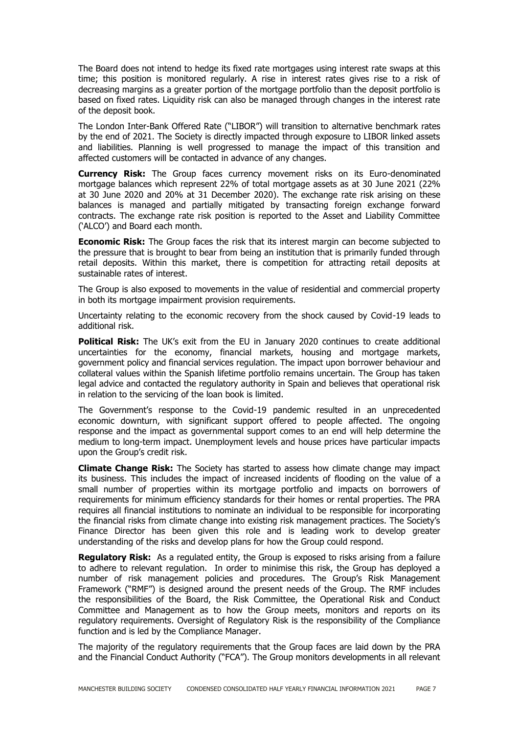The Board does not intend to hedge its fixed rate mortgages using interest rate swaps at this time; this position is monitored regularly. A rise in interest rates gives rise to a risk of decreasing margins as a greater portion of the mortgage portfolio than the deposit portfolio is based on fixed rates. Liquidity risk can also be managed through changes in the interest rate of the deposit book.

The London Inter-Bank Offered Rate ("LIBOR") will transition to alternative benchmark rates by the end of 2021. The Society is directly impacted through exposure to LIBOR linked assets and liabilities. Planning is well progressed to manage the impact of this transition and affected customers will be contacted in advance of any changes.

**Currency Risk:** The Group faces currency movement risks on its Euro-denominated mortgage balances which represent 22% of total mortgage assets as at 30 June 2021 (22% at 30 June 2020 and 20% at 31 December 2020). The exchange rate risk arising on these balances is managed and partially mitigated by transacting foreign exchange forward contracts. The exchange rate risk position is reported to the Asset and Liability Committee ('ALCO') and Board each month.

**Economic Risk:** The Group faces the risk that its interest margin can become subjected to the pressure that is brought to bear from being an institution that is primarily funded through retail deposits. Within this market, there is competition for attracting retail deposits at sustainable rates of interest.

The Group is also exposed to movements in the value of residential and commercial property in both its mortgage impairment provision requirements.

Uncertainty relating to the economic recovery from the shock caused by Covid-19 leads to additional risk.

**Political Risk:** The UK's exit from the EU in January 2020 continues to create additional uncertainties for the economy, financial markets, housing and mortgage markets, government policy and financial services regulation. The impact upon borrower behaviour and collateral values within the Spanish lifetime portfolio remains uncertain. The Group has taken legal advice and contacted the regulatory authority in Spain and believes that operational risk in relation to the servicing of the loan book is limited.

The Government's response to the Covid-19 pandemic resulted in an unprecedented economic downturn, with significant support offered to people affected. The ongoing response and the impact as governmental support comes to an end will help determine the medium to long-term impact. Unemployment levels and house prices have particular impacts upon the Group's credit risk.

**Climate Change Risk:** The Society has started to assess how climate change may impact its business. This includes the impact of increased incidents of flooding on the value of a small number of properties within its mortgage portfolio and impacts on borrowers of requirements for minimum efficiency standards for their homes or rental properties. The PRA requires all financial institutions to nominate an individual to be responsible for incorporating the financial risks from climate change into existing risk management practices. The Society's Finance Director has been given this role and is leading work to develop greater understanding of the risks and develop plans for how the Group could respond.

**Regulatory Risk:** As a regulated entity, the Group is exposed to risks arising from a failure to adhere to relevant regulation. In order to minimise this risk, the Group has deployed a number of risk management policies and procedures. The Group's Risk Management Framework ("RMF") is designed around the present needs of the Group. The RMF includes the responsibilities of the Board, the Risk Committee, the Operational Risk and Conduct Committee and Management as to how the Group meets, monitors and reports on its regulatory requirements. Oversight of Regulatory Risk is the responsibility of the Compliance function and is led by the Compliance Manager.

The majority of the regulatory requirements that the Group faces are laid down by the PRA and the Financial Conduct Authority ("FCA"). The Group monitors developments in all relevant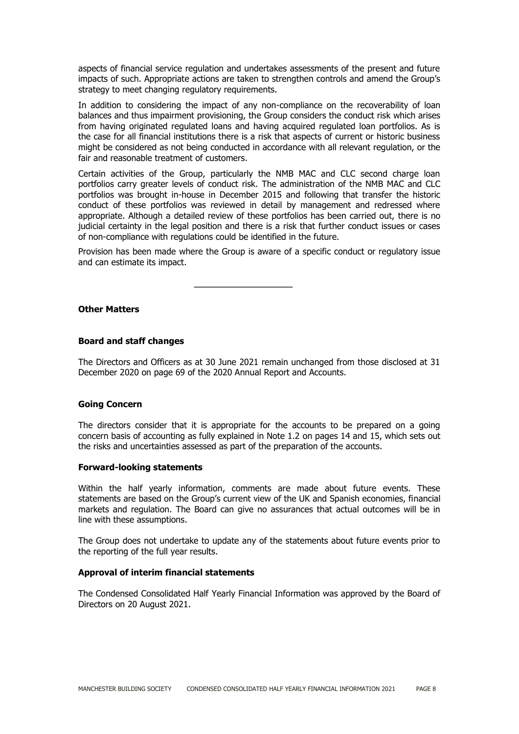aspects of financial service regulation and undertakes assessments of the present and future impacts of such. Appropriate actions are taken to strengthen controls and amend the Group's strategy to meet changing regulatory requirements.

In addition to considering the impact of any non-compliance on the recoverability of loan balances and thus impairment provisioning, the Group considers the conduct risk which arises from having originated regulated loans and having acquired regulated loan portfolios. As is the case for all financial institutions there is a risk that aspects of current or historic business might be considered as not being conducted in accordance with all relevant regulation, or the fair and reasonable treatment of customers.

Certain activities of the Group, particularly the NMB MAC and CLC second charge loan portfolios carry greater levels of conduct risk. The administration of the NMB MAC and CLC portfolios was brought in-house in December 2015 and following that transfer the historic conduct of these portfolios was reviewed in detail by management and redressed where appropriate. Although a detailed review of these portfolios has been carried out, there is no judicial certainty in the legal position and there is a risk that further conduct issues or cases of non-compliance with regulations could be identified in the future.

Provision has been made where the Group is aware of a specific conduct or regulatory issue and can estimate its impact.

**Other Matters**

#### **Board and staff changes**

The Directors and Officers as at 30 June 2021 remain unchanged from those disclosed at 31 December 2020 on page 69 of the 2020 Annual Report and Accounts.

#### **Going Concern**

The directors consider that it is appropriate for the accounts to be prepared on a going concern basis of accounting as fully explained in Note 1.2 on pages 14 and 15, which sets out the risks and uncertainties assessed as part of the preparation of the accounts.

#### **Forward-looking statements**

Within the half yearly information, comments are made about future events. These statements are based on the Group's current view of the UK and Spanish economies, financial markets and regulation. The Board can give no assurances that actual outcomes will be in line with these assumptions.

The Group does not undertake to update any of the statements about future events prior to the reporting of the full year results.

#### **Approval of interim financial statements**

The Condensed Consolidated Half Yearly Financial Information was approved by the Board of Directors on 20 August 2021.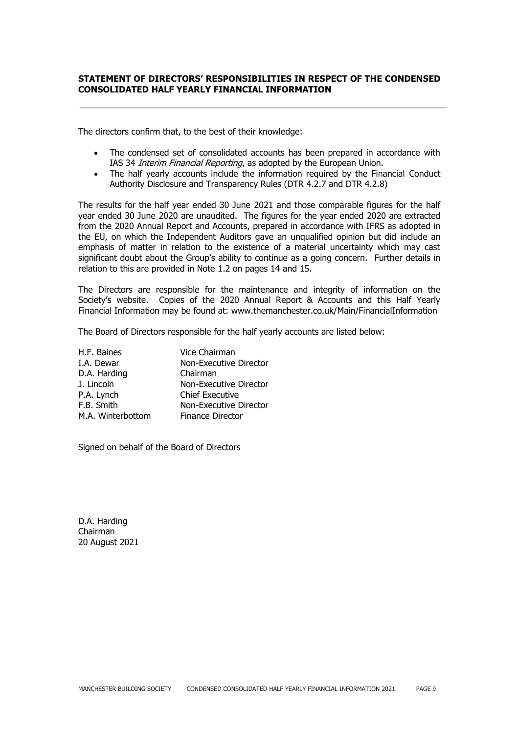## **STATEMENT OF DIRECTORS' RESPONSIBILITIES IN RESPECT OF THE CONDENSED CONSOLIDATED HALF YEARLY FINANCIAL INFORMATION**

The directors confirm that, to the best of their knowledge:

- The condensed set of consolidated accounts has been prepared in accordance with IAS 34 *Interim Financial Reporting*, as adopted by the European Union.
- The half yearly accounts include the information required by the Financial Conduct Authority Disclosure and Transparency Rules (DTR 4.2.7 and DTR 4.2.8)

The results for the half year ended 30 June 2021 and those comparable figures for the half year ended 30 June 2020 are unaudited. The figures for the year ended 2020 are extracted from the 2020 Annual Report and Accounts, prepared in accordance with IFRS as adopted in the EU, on which the Independent Auditors gave an unqualified opinion but did include an emphasis of matter in relation to the existence of a material uncertainty which may cast significant doubt about the Group's ability to continue as a going concern. Further details in relation to this are provided in Note 1.2 on pages 14 and 15.

The Directors are responsible for the maintenance and integrity of information on the Society's website. Copies of the 2020 Annual Report & Accounts and this Half Yearly Financial Information may be found at: www.themanchester.co.uk/Main/FinancialInformation

The Board of Directors responsible for the half yearly accounts are listed below:

| H.F. Baines       | Vice Chairman           |
|-------------------|-------------------------|
| I.A. Dewar        | Non-Executive Director  |
| D.A. Harding      | Chairman                |
| J. Lincoln        | Non-Executive Director  |
| P.A. Lynch        | <b>Chief Executive</b>  |
| F.B. Smith        | Non-Executive Director  |
| M.A. Winterbottom | <b>Finance Director</b> |

Signed on behalf of the Board of Directors

D.A. Harding Chairman 20 August 2021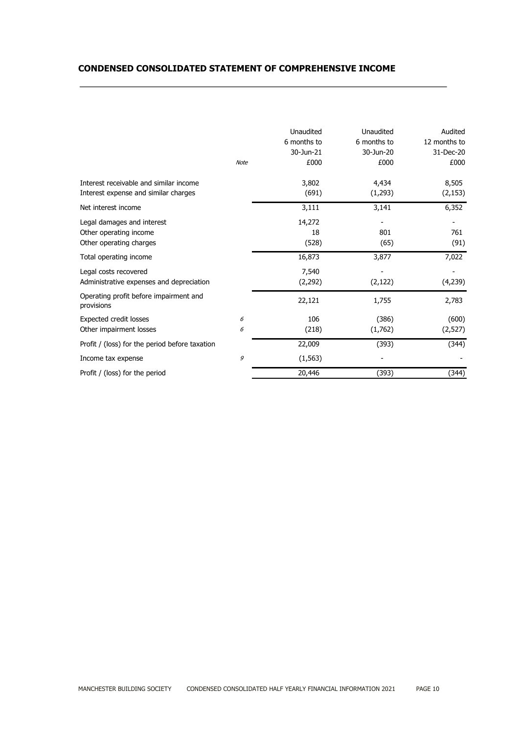# **CONDENSED CONSOLIDATED STATEMENT OF COMPREHENSIVE INCOME**

|                                                                                 | <b>Note</b> | Unaudited<br>6 months to<br>30-Jun-21<br>£000 | Unaudited<br>6 months to<br>30-Jun-20<br>£000 | Audited<br>12 months to<br>31-Dec-20<br>£000 |
|---------------------------------------------------------------------------------|-------------|-----------------------------------------------|-----------------------------------------------|----------------------------------------------|
| Interest receivable and similar income<br>Interest expense and similar charges  |             | 3,802<br>(691)                                | 4,434<br>(1, 293)                             | 8,505<br>(2, 153)                            |
| Net interest income                                                             |             | 3,111                                         | 3,141                                         | 6,352                                        |
| Legal damages and interest<br>Other operating income<br>Other operating charges |             | 14,272<br>18<br>(528)                         | 801<br>(65)                                   | 761<br>(91)                                  |
| Total operating income                                                          |             | 16,873                                        | 3,877                                         | 7,022                                        |
| Legal costs recovered<br>Administrative expenses and depreciation               |             | 7,540<br>(2, 292)                             | (2, 122)                                      | (4,239)                                      |
| Operating profit before impairment and<br>provisions                            |             | 22,121                                        | 1,755                                         | 2,783                                        |
| Expected credit losses<br>Other impairment losses                               | 6<br>6      | 106<br>(218)                                  | (386)<br>(1,762)                              | (600)<br>(2,527)                             |
| Profit / (loss) for the period before taxation                                  |             | 22,009                                        | (393)                                         | (344)                                        |
| Income tax expense                                                              | 9           | (1, 563)                                      |                                               |                                              |
| Profit / (loss) for the period                                                  |             | 20,446                                        | (393)                                         | (344)                                        |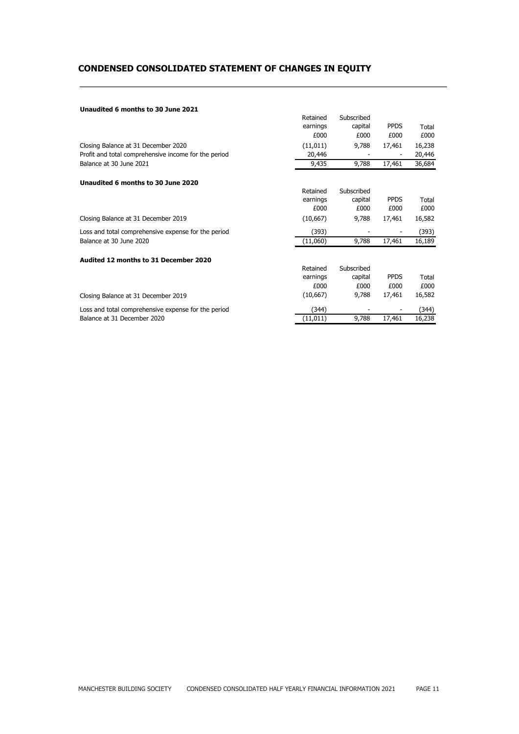# **CONDENSED CONSOLIDATED STATEMENT OF CHANGES IN EQUITY**

#### **Unaudited 6 months to 30 June 2021**

|                                                      | Retained  | Subscribed |             |        |
|------------------------------------------------------|-----------|------------|-------------|--------|
|                                                      | earnings  | capital    | <b>PPDS</b> | Total  |
|                                                      | £000      | £000       | £000        | £000   |
| Closing Balance at 31 December 2020                  | (11, 011) | 9,788      | 17,461      | 16,238 |
| Profit and total comprehensive income for the period | 20,446    |            |             | 20,446 |
| Balance at 30 June 2021                              | 9,435     | 9,788      | 17,461      | 36,684 |
| Unaudited 6 months to 30 June 2020                   |           |            |             |        |
|                                                      | Retained  | Subscribed |             |        |
|                                                      | earnings  | capital    | <b>PPDS</b> | Total  |
|                                                      | £000      | £000       | £000        | £000   |
| Closing Balance at 31 December 2019                  | (10, 667) | 9,788      | 17,461      | 16,582 |
| Loss and total comprehensive expense for the period  | (393)     |            |             | (393)  |
| Balance at 30 June 2020                              | (11,060)  | 9,788      | 17,461      | 16,189 |
| Audited 12 months to 31 December 2020                |           |            |             |        |
|                                                      | Retained  | Subscribed |             |        |
|                                                      | earnings  | capital    | <b>PPDS</b> | Total  |
|                                                      | £000      | £000       | £000        | £000   |
| Closing Balance at 31 December 2019                  | (10, 667) | 9,788      | 17,461      | 16,582 |
| Loss and total comprehensive expense for the period  | (344)     |            |             | (344)  |
| Balance at 31 December 2020                          | (11, 011) | 9,788      | 17,461      | 16,238 |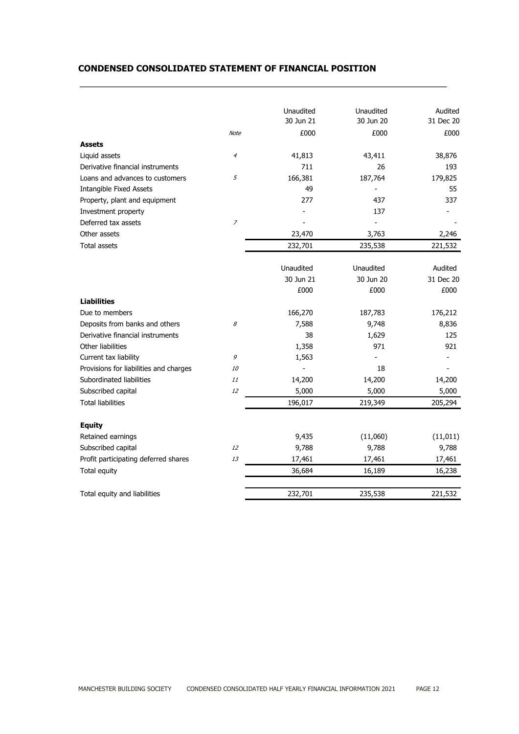## **CONDENSED CONSOLIDATED STATEMENT OF FINANCIAL POSITION**

|                                        |                | Unaudited | Unaudited | Audited   |
|----------------------------------------|----------------|-----------|-----------|-----------|
|                                        |                | 30 Jun 21 | 30 Jun 20 | 31 Dec 20 |
|                                        | <b>Note</b>    | £000      | £000      | £000      |
| <b>Assets</b>                          |                |           |           |           |
| Liquid assets                          | 4              | 41,813    | 43,411    | 38,876    |
| Derivative financial instruments       |                | 711       | 26        | 193       |
| Loans and advances to customers        | 5              | 166,381   | 187,764   | 179,825   |
| <b>Intangible Fixed Assets</b>         |                | 49        |           | 55        |
| Property, plant and equipment          |                | 277       | 437       | 337       |
| Investment property                    |                |           | 137       |           |
| Deferred tax assets                    | $\overline{z}$ |           |           |           |
| Other assets                           |                | 23,470    | 3,763     | 2,246     |
| <b>Total assets</b>                    |                | 232,701   | 235,538   | 221,532   |
|                                        |                |           |           |           |
|                                        |                | Unaudited | Unaudited | Audited   |
|                                        |                | 30 Jun 21 | 30 Jun 20 | 31 Dec 20 |
|                                        |                | £000      | £000      | £000      |
| <b>Liabilities</b>                     |                |           |           |           |
| Due to members                         |                | 166,270   | 187,783   | 176,212   |
| Deposits from banks and others         | 8              | 7,588     | 9,748     | 8,836     |
| Derivative financial instruments       |                | 38        | 1,629     | 125       |
| Other liabilities                      |                | 1,358     | 971       | 921       |
| Current tax liability                  | 9              | 1,563     |           |           |
| Provisions for liabilities and charges | 10             |           | 18        |           |
| Subordinated liabilities               | 11             | 14,200    | 14,200    | 14,200    |
| Subscribed capital                     | 12             | 5,000     | 5,000     | 5,000     |
| <b>Total liabilities</b>               |                | 196,017   | 219,349   | 205,294   |
| <b>Equity</b>                          |                |           |           |           |
| Retained earnings                      |                | 9,435     | (11,060)  | (11, 011) |
| Subscribed capital                     | 12             | 9,788     | 9,788     | 9,788     |
| Profit participating deferred shares   | 13             | 17,461    | 17,461    | 17,461    |
| Total equity                           |                | 36,684    | 16,189    | 16,238    |
| Total equity and liabilities           |                | 232,701   | 235,538   | 221,532   |
|                                        |                |           |           |           |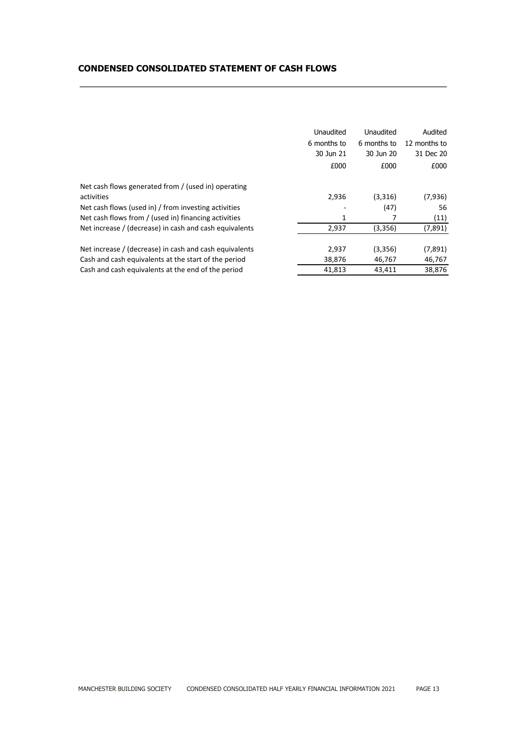## **CONDENSED CONSOLIDATED STATEMENT OF CASH FLOWS**

| Unaudited<br>Unaudited<br>Audited<br>6 months to<br>12 months to<br>6 months to<br>30 Jun 21<br>30 Jun 20<br>31 Dec 20<br>£000<br>£000<br>£000<br>Net cash flows generated from / (used in) operating<br>activities<br>2,936<br>(7,936)<br>(3,316)<br>Net cash flows (used in) / from investing activities<br>(47)<br>56<br>Net cash flows from / (used in) financing activities<br>(11)<br>1<br>(7,891)<br>Net increase / (decrease) in cash and cash equivalents<br>2,937<br>(3,356)<br>Net increase / (decrease) in cash and cash equivalents<br>(3,356)<br>(7,891)<br>2,937<br>46,767<br>Cash and cash equivalents at the start of the period<br>38,876<br>46,767<br>Cash and cash equivalents at the end of the period<br>38,876<br>41,813<br>43,411 |  |  |
|-----------------------------------------------------------------------------------------------------------------------------------------------------------------------------------------------------------------------------------------------------------------------------------------------------------------------------------------------------------------------------------------------------------------------------------------------------------------------------------------------------------------------------------------------------------------------------------------------------------------------------------------------------------------------------------------------------------------------------------------------------------|--|--|
|                                                                                                                                                                                                                                                                                                                                                                                                                                                                                                                                                                                                                                                                                                                                                           |  |  |
|                                                                                                                                                                                                                                                                                                                                                                                                                                                                                                                                                                                                                                                                                                                                                           |  |  |
|                                                                                                                                                                                                                                                                                                                                                                                                                                                                                                                                                                                                                                                                                                                                                           |  |  |
|                                                                                                                                                                                                                                                                                                                                                                                                                                                                                                                                                                                                                                                                                                                                                           |  |  |
|                                                                                                                                                                                                                                                                                                                                                                                                                                                                                                                                                                                                                                                                                                                                                           |  |  |
|                                                                                                                                                                                                                                                                                                                                                                                                                                                                                                                                                                                                                                                                                                                                                           |  |  |
|                                                                                                                                                                                                                                                                                                                                                                                                                                                                                                                                                                                                                                                                                                                                                           |  |  |
|                                                                                                                                                                                                                                                                                                                                                                                                                                                                                                                                                                                                                                                                                                                                                           |  |  |
|                                                                                                                                                                                                                                                                                                                                                                                                                                                                                                                                                                                                                                                                                                                                                           |  |  |
|                                                                                                                                                                                                                                                                                                                                                                                                                                                                                                                                                                                                                                                                                                                                                           |  |  |
|                                                                                                                                                                                                                                                                                                                                                                                                                                                                                                                                                                                                                                                                                                                                                           |  |  |
|                                                                                                                                                                                                                                                                                                                                                                                                                                                                                                                                                                                                                                                                                                                                                           |  |  |
|                                                                                                                                                                                                                                                                                                                                                                                                                                                                                                                                                                                                                                                                                                                                                           |  |  |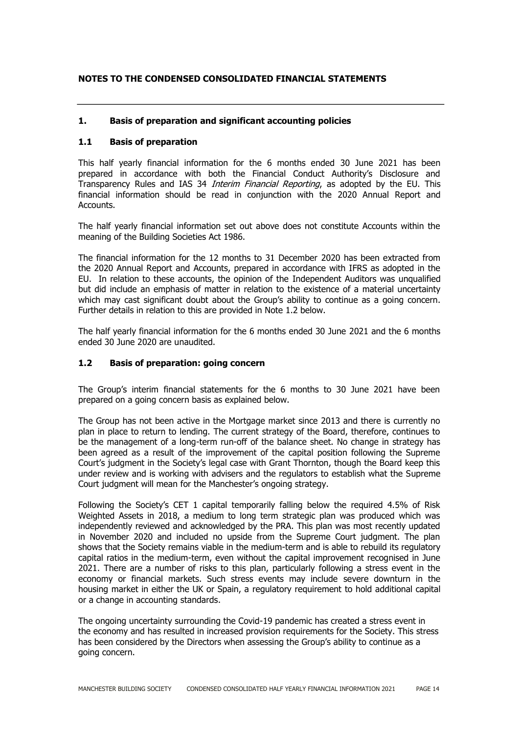## **NOTES TO THE CONDENSED CONSOLIDATED FINANCIAL STATEMENTS**

## **1. Basis of preparation and significant accounting policies**

#### **1.1 Basis of preparation**

This half yearly financial information for the 6 months ended 30 June 2021 has been prepared in accordance with both the Financial Conduct Authority's Disclosure and Transparency Rules and IAS 34 Interim Financial Reporting, as adopted by the EU. This financial information should be read in conjunction with the 2020 Annual Report and Accounts.

The half yearly financial information set out above does not constitute Accounts within the meaning of the Building Societies Act 1986.

The financial information for the 12 months to 31 December 2020 has been extracted from the 2020 Annual Report and Accounts, prepared in accordance with IFRS as adopted in the EU. In relation to these accounts, the opinion of the Independent Auditors was unqualified but did include an emphasis of matter in relation to the existence of a material uncertainty which may cast significant doubt about the Group's ability to continue as a going concern. Further details in relation to this are provided in Note 1.2 below.

The half yearly financial information for the 6 months ended 30 June 2021 and the 6 months ended 30 June 2020 are unaudited.

#### **1.2 Basis of preparation: going concern**

The Group's interim financial statements for the 6 months to 30 June 2021 have been prepared on a going concern basis as explained below.

The Group has not been active in the Mortgage market since 2013 and there is currently no plan in place to return to lending. The current strategy of the Board, therefore, continues to be the management of a long-term run-off of the balance sheet. No change in strategy has been agreed as a result of the improvement of the capital position following the Supreme Court's judgment in the Society's legal case with Grant Thornton, though the Board keep this under review and is working with advisers and the regulators to establish what the Supreme Court judgment will mean for the Manchester's ongoing strategy.

Following the Society's CET 1 capital temporarily falling below the required 4.5% of Risk Weighted Assets in 2018, a medium to long term strategic plan was produced which was independently reviewed and acknowledged by the PRA. This plan was most recently updated in November 2020 and included no upside from the Supreme Court judgment. The plan shows that the Society remains viable in the medium-term and is able to rebuild its regulatory capital ratios in the medium-term, even without the capital improvement recognised in June 2021. There are a number of risks to this plan, particularly following a stress event in the economy or financial markets. Such stress events may include severe downturn in the housing market in either the UK or Spain, a regulatory requirement to hold additional capital or a change in accounting standards.

The ongoing uncertainty surrounding the Covid-19 pandemic has created a stress event in the economy and has resulted in increased provision requirements for the Society. This stress has been considered by the Directors when assessing the Group's ability to continue as a going concern.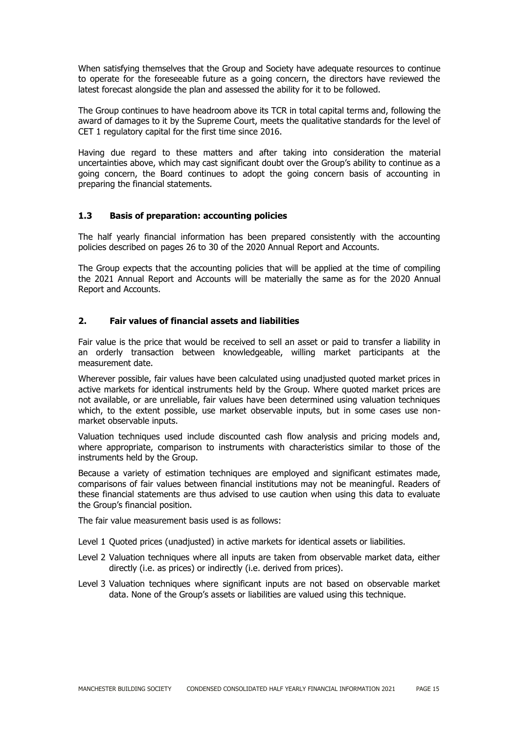When satisfying themselves that the Group and Society have adequate resources to continue to operate for the foreseeable future as a going concern, the directors have reviewed the latest forecast alongside the plan and assessed the ability for it to be followed.

The Group continues to have headroom above its TCR in total capital terms and, following the award of damages to it by the Supreme Court, meets the qualitative standards for the level of CET 1 regulatory capital for the first time since 2016.

Having due regard to these matters and after taking into consideration the material uncertainties above, which may cast significant doubt over the Group's ability to continue as a going concern, the Board continues to adopt the going concern basis of accounting in preparing the financial statements.

## **1.3 Basis of preparation: accounting policies**

The half yearly financial information has been prepared consistently with the accounting policies described on pages 26 to 30 of the 2020 Annual Report and Accounts.

The Group expects that the accounting policies that will be applied at the time of compiling the 2021 Annual Report and Accounts will be materially the same as for the 2020 Annual Report and Accounts.

#### **2. Fair values of financial assets and liabilities**

Fair value is the price that would be received to sell an asset or paid to transfer a liability in an orderly transaction between knowledgeable, willing market participants at the measurement date.

Wherever possible, fair values have been calculated using unadjusted quoted market prices in active markets for identical instruments held by the Group. Where quoted market prices are not available, or are unreliable, fair values have been determined using valuation techniques which, to the extent possible, use market observable inputs, but in some cases use nonmarket observable inputs.

Valuation techniques used include discounted cash flow analysis and pricing models and, where appropriate, comparison to instruments with characteristics similar to those of the instruments held by the Group.

Because a variety of estimation techniques are employed and significant estimates made, comparisons of fair values between financial institutions may not be meaningful. Readers of these financial statements are thus advised to use caution when using this data to evaluate the Group's financial position.

The fair value measurement basis used is as follows:

- Level 1 Quoted prices (unadjusted) in active markets for identical assets or liabilities.
- Level 2 Valuation techniques where all inputs are taken from observable market data, either directly (i.e. as prices) or indirectly (i.e. derived from prices).
- Level 3 Valuation techniques where significant inputs are not based on observable market data. None of the Group's assets or liabilities are valued using this technique.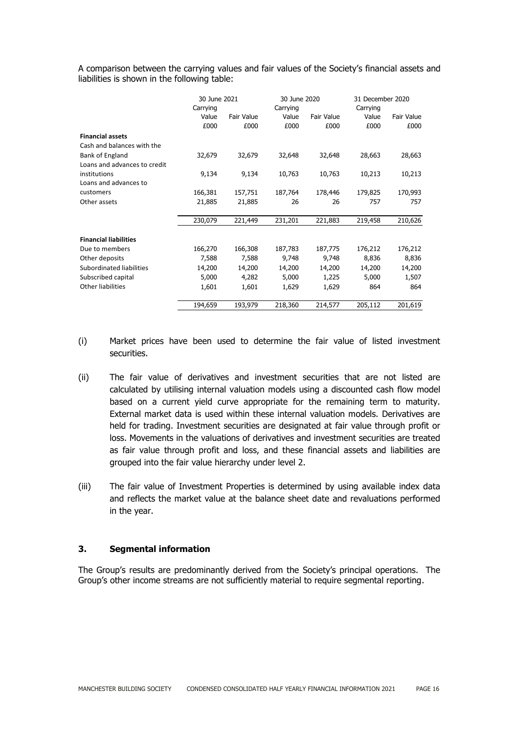A comparison between the carrying values and fair values of the Society's financial assets and liabilities is shown in the following table:

|                              | 30 June 2021      |                   |                   | 30 June 2020 |                   | 31 December 2020 |
|------------------------------|-------------------|-------------------|-------------------|--------------|-------------------|------------------|
|                              | Carrying<br>Value | <b>Fair Value</b> | Carrying<br>Value | Fair Value   | Carrying<br>Value | Fair Value       |
|                              | £000              | £000              | £000              | £000         | £000              | £000             |
|                              |                   |                   |                   |              |                   |                  |
| <b>Financial assets</b>      |                   |                   |                   |              |                   |                  |
| Cash and balances with the   |                   |                   |                   |              |                   |                  |
| Bank of England              | 32,679            | 32,679            | 32,648            | 32,648       | 28,663            | 28,663           |
| Loans and advances to credit |                   |                   |                   |              |                   |                  |
| institutions                 | 9,134             | 9,134             | 10,763            | 10,763       | 10,213            | 10,213           |
| Loans and advances to        |                   |                   |                   |              |                   |                  |
| customers                    | 166,381           | 157,751           | 187,764           | 178,446      | 179,825           | 170,993          |
| Other assets                 | 21,885            | 21,885            | 26                | 26           | 757               | 757              |
|                              |                   |                   |                   |              |                   |                  |
|                              | 230,079           | 221,449           | 231,201           | 221,883      | 219,458           | 210,626          |
| <b>Financial liabilities</b> |                   |                   |                   |              |                   |                  |
| Due to members               | 166,270           | 166,308           | 187,783           | 187,775      | 176,212           | 176,212          |
| Other deposits               | 7,588             | 7,588             | 9,748             | 9,748        | 8,836             | 8,836            |
| Subordinated liabilities     | 14,200            | 14,200            | 14,200            | 14,200       | 14,200            | 14,200           |
| Subscribed capital           | 5,000             | 4,282             | 5,000             | 1,225        | 5,000             | 1,507            |
| Other liabilities            | 1,601             | 1,601             | 1,629             | 1,629        | 864               | 864              |
|                              |                   |                   |                   |              |                   |                  |
|                              | 194,659           | 193,979           | 218,360           | 214,577      | 205,112           | 201,619          |

- (i) Market prices have been used to determine the fair value of listed investment securities.
- (ii) The fair value of derivatives and investment securities that are not listed are calculated by utilising internal valuation models using a discounted cash flow model based on a current yield curve appropriate for the remaining term to maturity. External market data is used within these internal valuation models. Derivatives are held for trading. Investment securities are designated at fair value through profit or loss. Movements in the valuations of derivatives and investment securities are treated as fair value through profit and loss, and these financial assets and liabilities are grouped into the fair value hierarchy under level 2.
- (iii) The fair value of Investment Properties is determined by using available index data and reflects the market value at the balance sheet date and revaluations performed in the year.

## **3. Segmental information**

The Group's results are predominantly derived from the Society's principal operations. The Group's other income streams are not sufficiently material to require segmental reporting.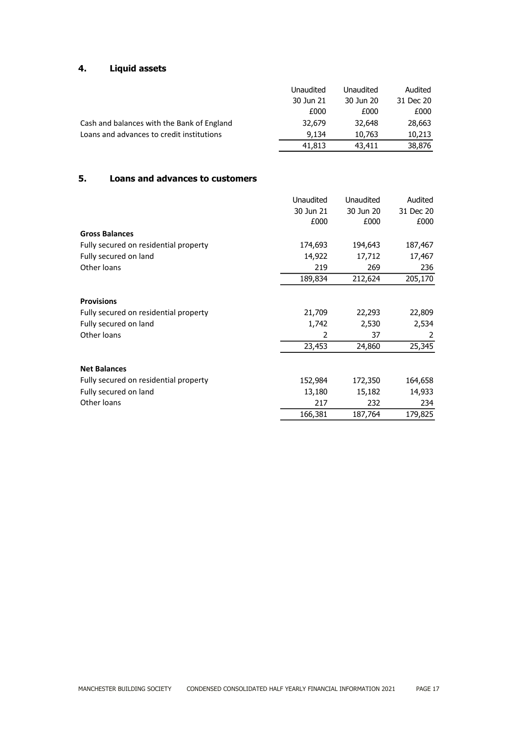# **4. Liquid assets**

|                                            | Unaudited | Unaudited | Audited   |
|--------------------------------------------|-----------|-----------|-----------|
|                                            | 30 Jun 21 | 30 Jun 20 | 31 Dec 20 |
|                                            | £000      | £000      | £000      |
| Cash and balances with the Bank of England | 32,679    | 32,648    | 28,663    |
| Loans and advances to credit institutions  | 9,134     | 10,763    | 10,213    |
|                                            | 41,813    | 43,411    | 38,876    |

## **5. Loans and advances to customers**

|                                       | Unaudited | Unaudited | Audited   |
|---------------------------------------|-----------|-----------|-----------|
|                                       | 30 Jun 21 | 30 Jun 20 | 31 Dec 20 |
|                                       | £000      | £000      | £000      |
| <b>Gross Balances</b>                 |           |           |           |
| Fully secured on residential property | 174,693   | 194,643   | 187,467   |
| Fully secured on land                 | 14,922    | 17,712    | 17,467    |
| Other loans                           | 219       | 269       | 236       |
|                                       | 189,834   | 212,624   | 205,170   |
| <b>Provisions</b>                     |           |           |           |
| Fully secured on residential property | 21,709    | 22,293    | 22,809    |
| Fully secured on land                 | 1,742     | 2,530     | 2,534     |
| Other loans                           | 2         | 37        | 2         |
|                                       | 23,453    | 24,860    | 25,345    |
| <b>Net Balances</b>                   |           |           |           |
| Fully secured on residential property | 152,984   | 172,350   | 164,658   |
| Fully secured on land                 | 13,180    | 15,182    | 14,933    |
| Other loans                           | 217       | 232       | 234       |
|                                       | 166,381   | 187,764   | 179,825   |
|                                       |           |           |           |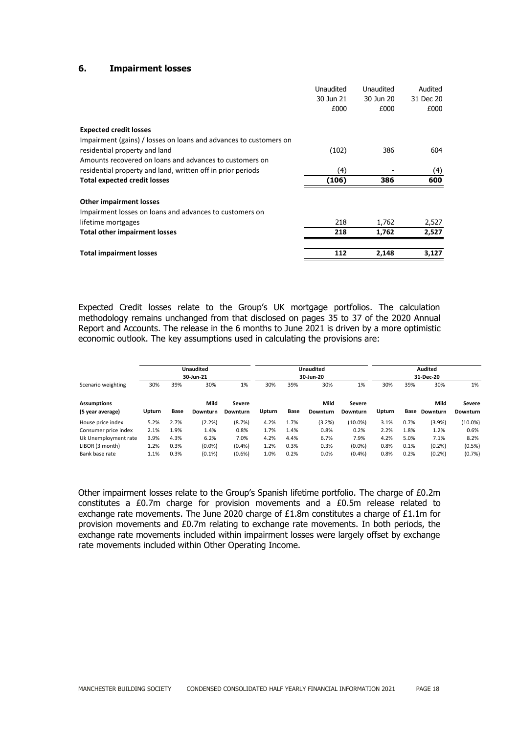#### **6. Impairment losses**

|                                                                   | 30 Jun 21<br>£000 | 30 Jun 20 | 31 Dec 20 |
|-------------------------------------------------------------------|-------------------|-----------|-----------|
|                                                                   |                   |           |           |
|                                                                   |                   | £000      | £000      |
| <b>Expected credit losses</b>                                     |                   |           |           |
| Impairment (gains) / losses on loans and advances to customers on |                   |           |           |
| residential property and land                                     | (102)             | 386       | 604       |
| Amounts recovered on loans and advances to customers on           |                   |           |           |
| residential property and land, written off in prior periods       | (4)               |           | (4)       |
| <b>Total expected credit losses</b>                               | (106)             | 386       | 600       |
| <b>Other impairment losses</b>                                    |                   |           |           |
| Impairment losses on loans and advances to customers on           |                   |           |           |
| lifetime mortgages                                                | 218               | 1,762     | 2,527     |
| <b>Total other impairment losses</b>                              | 218               | 1,762     | 2,527     |
|                                                                   |                   |           |           |
|                                                                   |                   |           |           |

Expected Credit losses relate to the Group's UK mortgage portfolios. The calculation methodology remains unchanged from that disclosed on pages 35 to 37 of the 2020 Annual Report and Accounts. The release in the 6 months to June 2021 is driven by a more optimistic economic outlook. The key assumptions used in calculating the provisions are:

|                                        |        | <b>Unaudited</b><br>30-Jun-21 |                  |                           | <b>Unaudited</b><br>30-Jun-20 |      |                  |                           |        |      |                  | <b>Audited</b><br>31-Dec-20 |  |
|----------------------------------------|--------|-------------------------------|------------------|---------------------------|-------------------------------|------|------------------|---------------------------|--------|------|------------------|-----------------------------|--|
| Scenario weighting                     | 30%    | 39%                           | 30%              | 1%                        | 30%                           | 39%  | 30%              | 1%                        | 30%    | 39%  | 30%              | 1%                          |  |
| <b>Assumptions</b><br>(5 year average) | Upturn | Base                          | Mild<br>Downturn | Severe<br><b>Downturn</b> | Upturn                        | Base | Mild<br>Downturn | Severe<br><b>Downturn</b> | Upturn | Base | Mild<br>Downturn | Severe<br>Downturn          |  |
| House price index                      | 5.2%   | 2.7%                          | (2.2%)           | (8.7%)                    | 4.2%                          | 1.7% | (3.2%)           | $(10.0\%)$                | 3.1%   | 0.7% | (3.9%)           | $(10.0\%)$                  |  |
| Consumer price index                   | 2.1%   | 1.9%                          | 1.4%             | 0.8%                      | 1.7%                          | 1.4% | 0.8%             | 0.2%                      | 2.2%   | 1.8% | 1.2%             | 0.6%                        |  |
| Uk Unemployment rate                   | 3.9%   | 4.3%                          | 6.2%             | 7.0%                      | 4.2%                          | 4.4% | 6.7%             | 7.9%                      | 4.2%   | 5.0% | 7.1%             | 8.2%                        |  |
| LIBOR (3 month)                        | 1.2%   | 0.3%                          | (0.0%            | (0.4% )                   | 1.2%                          | 0.3% | 0.3%             | (0.0%                     | 0.8%   | 0.1% | (0.2%            | (0.5%)                      |  |
| Bank base rate                         | 1.1%   | 0.3%                          | $(0.1\%)$        | (0.6% )                   | 1.0%                          | 0.2% | 0.0%             | (0.4%                     | 0.8%   | 0.2% | (0.2%            | (0.7%)                      |  |

Other impairment losses relate to the Group's Spanish lifetime portfolio. The charge of £0.2m constitutes a £0.7m charge for provision movements and a £0.5m release related to exchange rate movements. The June 2020 charge of  $£1.8$ m constitutes a charge of  $£1.1$ m for provision movements and £0.7m relating to exchange rate movements. In both periods, the exchange rate movements included within impairment losses were largely offset by exchange rate movements included within Other Operating Income.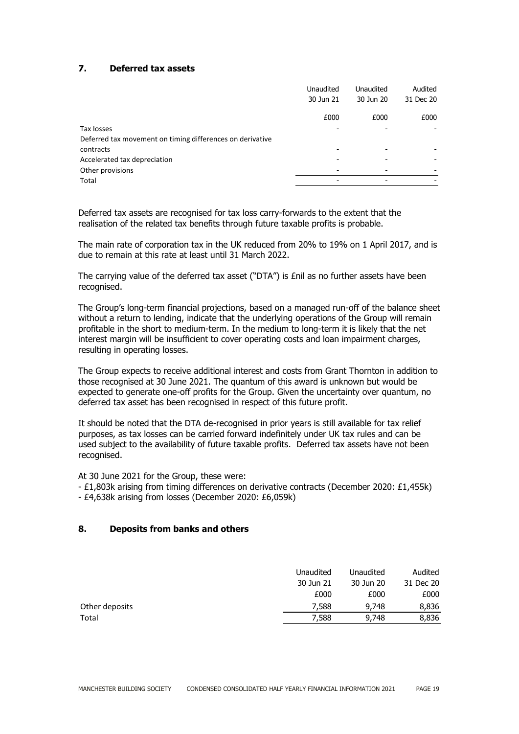## **7. Deferred tax assets**

|                                                           | <b>Unaudited</b> | Unaudited | Audited   |
|-----------------------------------------------------------|------------------|-----------|-----------|
|                                                           | 30 Jun 21        | 30 Jun 20 | 31 Dec 20 |
|                                                           | £000             | £000      | £000      |
| Tax losses                                                |                  |           |           |
| Deferred tax movement on timing differences on derivative |                  |           |           |
| contracts                                                 |                  |           |           |
| Accelerated tax depreciation                              |                  |           |           |
| Other provisions                                          |                  |           |           |
| Total                                                     | -                |           |           |

Deferred tax assets are recognised for tax loss carry-forwards to the extent that the realisation of the related tax benefits through future taxable profits is probable.

The main rate of corporation tax in the UK reduced from 20% to 19% on 1 April 2017, and is due to remain at this rate at least until 31 March 2022.

The carrying value of the deferred tax asset ("DTA") is £nil as no further assets have been recognised.

The Group's long-term financial projections, based on a managed run-off of the balance sheet without a return to lending, indicate that the underlying operations of the Group will remain profitable in the short to medium-term. In the medium to long-term it is likely that the net interest margin will be insufficient to cover operating costs and loan impairment charges, resulting in operating losses.

The Group expects to receive additional interest and costs from Grant Thornton in addition to those recognised at 30 June 2021. The quantum of this award is unknown but would be expected to generate one-off profits for the Group. Given the uncertainty over quantum, no deferred tax asset has been recognised in respect of this future profit.

It should be noted that the DTA de-recognised in prior years is still available for tax relief purposes, as tax losses can be carried forward indefinitely under UK tax rules and can be used subject to the availability of future taxable profits. Deferred tax assets have not been recognised.

At 30 June 2021 for the Group, these were:

- £1,803k arising from timing differences on derivative contracts (December 2020: £1,455k)

- £4,638k arising from losses (December 2020: £6,059k)

## **8. Deposits from banks and others**

|                | Unaudited | Unaudited | Audited   |
|----------------|-----------|-----------|-----------|
|                | 30 Jun 21 | 30 Jun 20 | 31 Dec 20 |
|                | £000      | £000      | £000      |
| Other deposits | 7,588     | 9,748     | 8,836     |
| Total          | 7,588     | 9,748     | 8,836     |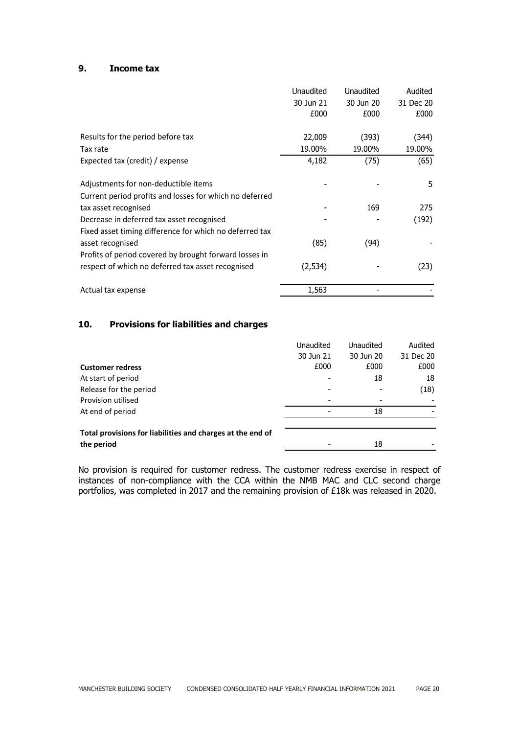## **9. Income tax**

|                                                         | Unaudited | <b>Unaudited</b> | Audited   |
|---------------------------------------------------------|-----------|------------------|-----------|
|                                                         | 30 Jun 21 | 30 Jun 20        | 31 Dec 20 |
|                                                         | £000      | £000             | £000      |
|                                                         |           |                  |           |
| Results for the period before tax                       | 22,009    | (393)            | (344)     |
| Tax rate                                                | 19.00%    | 19.00%           | 19.00%    |
| Expected tax (credit) / expense                         | 4,182     | (75)             | (65)      |
| Adjustments for non-deductible items                    |           |                  | 5         |
| Current period profits and losses for which no deferred |           |                  |           |
| tax asset recognised                                    |           | 169              | 275       |
| Decrease in deferred tax asset recognised               |           |                  | (192)     |
| Fixed asset timing difference for which no deferred tax |           |                  |           |
| asset recognised                                        | (85)      | (94)             |           |
| Profits of period covered by brought forward losses in  |           |                  |           |
| respect of which no deferred tax asset recognised       | (2,534)   |                  | (23)      |
| Actual tax expense                                      | 1,563     |                  |           |

## **10. Provisions for liabilities and charges**

|                                                            | <b>Unaudited</b> | <b>Unaudited</b> | Audited   |
|------------------------------------------------------------|------------------|------------------|-----------|
|                                                            | 30 Jun 21        | 30 Jun 20        | 31 Dec 20 |
| <b>Customer redress</b>                                    | £000             | £000             | £000      |
| At start of period                                         |                  | 18               | 18        |
| Release for the period                                     |                  |                  | (18)      |
| Provision utilised                                         |                  |                  |           |
| At end of period                                           |                  | 18               |           |
| Total provisions for liabilities and charges at the end of |                  |                  |           |
| the period                                                 |                  | 18               |           |

No provision is required for customer redress. The customer redress exercise in respect of instances of non-compliance with the CCA within the NMB MAC and CLC second charge portfolios, was completed in 2017 and the remaining provision of £18k was released in 2020.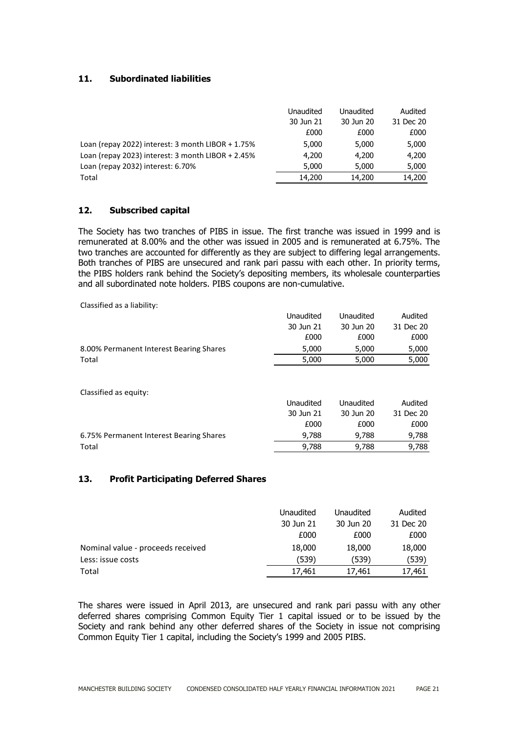## **11. Subordinated liabilities**

|                                                      | Unaudited | Unaudited | Audited   |
|------------------------------------------------------|-----------|-----------|-----------|
|                                                      | 30 Jun 21 | 30 Jun 20 | 31 Dec 20 |
|                                                      | £000      | £000      | £000      |
| Loan (repay 2022) interest: 3 month LIBOR $+ 1.75\%$ | 5,000     | 5,000     | 5,000     |
| Loan (repay 2023) interest: 3 month LIBOR + 2.45%    | 4,200     | 4,200     | 4,200     |
| Loan (repay 2032) interest: 6.70%                    | 5,000     | 5,000     | 5,000     |
| Total                                                | 14,200    | 14,200    | 14,200    |

#### **12. Subscribed capital**

The Society has two tranches of PIBS in issue. The first tranche was issued in 1999 and is remunerated at 8.00% and the other was issued in 2005 and is remunerated at 6.75%. The two tranches are accounted for differently as they are subject to differing legal arrangements. Both tranches of PIBS are unsecured and rank pari passu with each other. In priority terms, the PIBS holders rank behind the Society's depositing members, its wholesale counterparties and all subordinated note holders. PIBS coupons are non-cumulative.

Classified as a liability:

|                                         | Unaudited | Unaudited | Audited   |
|-----------------------------------------|-----------|-----------|-----------|
|                                         | 30 Jun 21 | 30 Jun 20 | 31 Dec 20 |
|                                         | £000      | £000      | £000      |
| 8.00% Permanent Interest Bearing Shares | 5,000     | 5,000     | 5,000     |
| Total                                   | 5,000     | 5,000     | 5,000     |
| Classified as equity:                   |           |           |           |
|                                         | Unaudited | Unaudited | Audited   |
|                                         | 30 Jun 21 | 30 Jun 20 | 31 Dec 20 |
|                                         | £000      | £000      | £000      |
| 6.75% Permanent Interest Bearing Shares | 9,788     | 9,788     | 9,788     |
| Total                                   | 9,788     | 9,788     | 9,788     |

## **13. Profit Participating Deferred Shares**

|                                   | Unaudited | Unaudited | Audited   |
|-----------------------------------|-----------|-----------|-----------|
|                                   | 30 Jun 21 | 30 Jun 20 | 31 Dec 20 |
|                                   | £000      | £000      | £000      |
| Nominal value - proceeds received | 18,000    | 18,000    | 18,000    |
| Less: issue costs                 | (539)     | (539)     | (539)     |
| Total                             | 17,461    | 17,461    | 17,461    |

The shares were issued in April 2013, are unsecured and rank pari passu with any other deferred shares comprising Common Equity Tier 1 capital issued or to be issued by the Society and rank behind any other deferred shares of the Society in issue not comprising Common Equity Tier 1 capital, including the Society's 1999 and 2005 PIBS.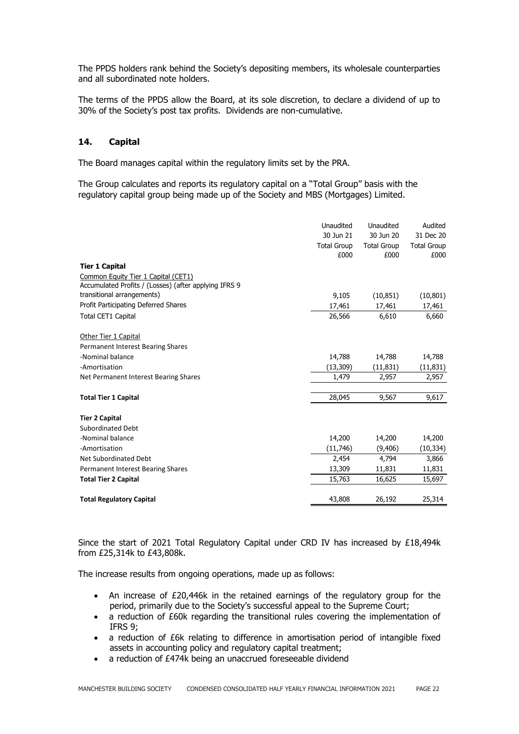The PPDS holders rank behind the Society's depositing members, its wholesale counterparties and all subordinated note holders.

The terms of the PPDS allow the Board, at its sole discretion, to declare a dividend of up to 30% of the Society's post tax profits. Dividends are non-cumulative.

#### **14. Capital**

The Board manages capital within the regulatory limits set by the PRA.

The Group calculates and reports its regulatory capital on a "Total Group" basis with the regulatory capital group being made up of the Society and MBS (Mortgages) Limited.

|                                                       | Unaudited          | Unaudited          | Audited            |
|-------------------------------------------------------|--------------------|--------------------|--------------------|
|                                                       | 30 Jun 21          | 30 Jun 20          | 31 Dec 20          |
|                                                       | <b>Total Group</b> | <b>Total Group</b> | <b>Total Group</b> |
|                                                       | £000               | £000               | £000               |
| <b>Tier 1 Capital</b>                                 |                    |                    |                    |
| Common Equity Tier 1 Capital (CET1)                   |                    |                    |                    |
| Accumulated Profits / (Losses) (after applying IFRS 9 |                    |                    |                    |
| transitional arrangements)                            | 9,105              | (10, 851)          | (10, 801)          |
| Profit Participating Deferred Shares                  | 17,461             | 17,461             | 17,461             |
| <b>Total CET1 Capital</b>                             | 26,566             | 6,610              | 6,660              |
| Other Tier 1 Capital                                  |                    |                    |                    |
| Permanent Interest Bearing Shares                     |                    |                    |                    |
| -Nominal balance                                      | 14,788             | 14,788             | 14,788             |
| -Amortisation                                         | (13, 309)          | (11, 831)          | (11, 831)          |
| Net Permanent Interest Bearing Shares                 | 1,479              | 2,957              | 2,957              |
| <b>Total Tier 1 Capital</b>                           | 28,045             | 9,567              | 9,617              |
| <b>Tier 2 Capital</b>                                 |                    |                    |                    |
| <b>Subordinated Debt</b>                              |                    |                    |                    |
| -Nominal balance                                      | 14,200             | 14,200             | 14,200             |
| -Amortisation                                         | (11,746)           | (9,406)            | (10, 334)          |
| Net Subordinated Debt                                 | 2,454              | 4,794              | 3,866              |
| <b>Permanent Interest Bearing Shares</b>              | 13,309             | 11,831             | 11,831             |
| <b>Total Tier 2 Capital</b>                           | 15,763             | 16,625             | 15,697             |
| <b>Total Regulatory Capital</b>                       | 43,808             | 26,192             | 25,314             |

Since the start of 2021 Total Regulatory Capital under CRD IV has increased by £18,494k from £25,314k to £43,808k.

The increase results from ongoing operations, made up as follows:

- An increase of £20,446k in the retained earnings of the regulatory group for the period, primarily due to the Society's successful appeal to the Supreme Court;
- a reduction of £60k regarding the transitional rules covering the implementation of IFRS 9;
- a reduction of £6k relating to difference in amortisation period of intangible fixed assets in accounting policy and regulatory capital treatment;
- a reduction of £474k being an unaccrued foreseeable dividend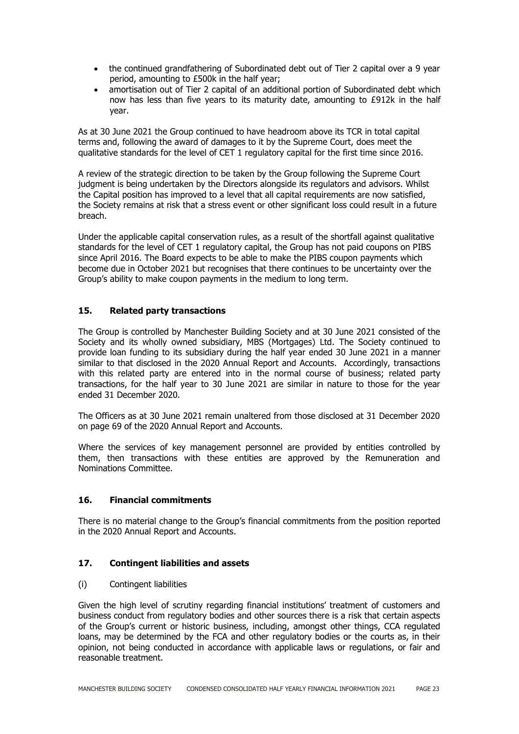- the continued grandfathering of Subordinated debt out of Tier 2 capital over a 9 year period, amounting to £500k in the half year;
- amortisation out of Tier 2 capital of an additional portion of Subordinated debt which now has less than five years to its maturity date, amounting to £912k in the half year.

As at 30 June 2021 the Group continued to have headroom above its TCR in total capital terms and, following the award of damages to it by the Supreme Court, does meet the qualitative standards for the level of CET 1 regulatory capital for the first time since 2016.

A review of the strategic direction to be taken by the Group following the Supreme Court judgment is being undertaken by the Directors alongside its regulators and advisors. Whilst the Capital position has improved to a level that all capital requirements are now satisfied, the Society remains at risk that a stress event or other significant loss could result in a future breach.

Under the applicable capital conservation rules, as a result of the shortfall against qualitative standards for the level of CET 1 regulatory capital, the Group has not paid coupons on PIBS since April 2016. The Board expects to be able to make the PIBS coupon payments which become due in October 2021 but recognises that there continues to be uncertainty over the Group's ability to make coupon payments in the medium to long term.

## **15. Related party transactions**

The Group is controlled by Manchester Building Society and at 30 June 2021 consisted of the Society and its wholly owned subsidiary, MBS (Mortgages) Ltd. The Society continued to provide loan funding to its subsidiary during the half year ended 30 June 2021 in a manner similar to that disclosed in the 2020 Annual Report and Accounts. Accordingly, transactions with this related party are entered into in the normal course of business; related party transactions, for the half year to 30 June 2021 are similar in nature to those for the year ended 31 December 2020.

The Officers as at 30 June 2021 remain unaltered from those disclosed at 31 December 2020 on page 69 of the 2020 Annual Report and Accounts.

Where the services of key management personnel are provided by entities controlled by them, then transactions with these entities are approved by the Remuneration and Nominations Committee.

## **16. Financial commitments**

There is no material change to the Group's financial commitments from the position reported in the 2020 Annual Report and Accounts.

## **17. Contingent liabilities and assets**

(i) Contingent liabilities

Given the high level of scrutiny regarding financial institutions' treatment of customers and business conduct from regulatory bodies and other sources there is a risk that certain aspects of the Group's current or historic business, including, amongst other things, CCA regulated loans, may be determined by the FCA and other regulatory bodies or the courts as, in their opinion, not being conducted in accordance with applicable laws or regulations, or fair and reasonable treatment.